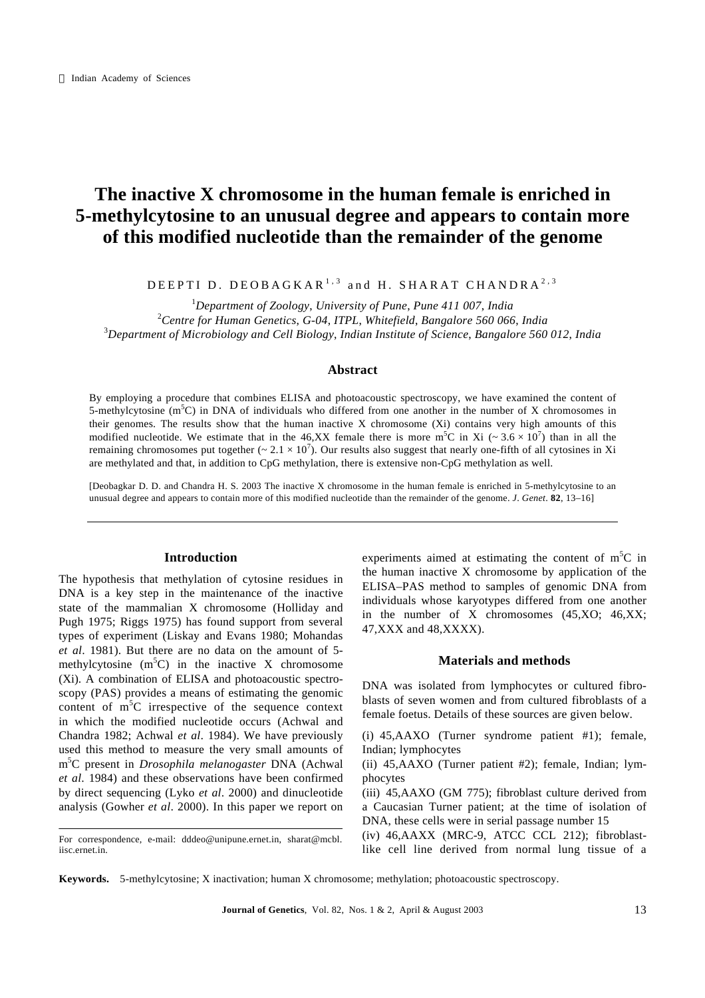# **The inactive X chromosome in the human female is enriched in 5-methylcytosine to an unusual degree and appears to contain more of this modified nucleotide than the remainder of the genome**

DEEPTI D. DEOBAGKAR<sup>1,3</sup> and H. SHARAT CHANDRA<sup>2,3</sup>

<sup>1</sup>*Department of Zoology*, *University of Pune*, *Pune 411 007*, *India* <sup>2</sup>*Centre for Human Genetics*, *G-04*, *ITPL*, *Whitefield*, *Bangalore 560 066*, *India* <sup>3</sup>*Department of Microbiology and Cell Biology*, *Indian Institute of Science*, *Bangalore 560 012*, *India*

## **Abstract**

By employing a procedure that combines ELISA and photoacoustic spectroscopy, we have examined the content of 5-methylcytosine  $(m^5C)$  in DNA of individuals who differed from one another in the number of X chromosomes in their genomes. The results show that the human inactive X chromosome (Xi) contains very high amounts of this modified nucleotide. We estimate that in the 46,XX female there is more m<sup>5</sup>C in Xi ( $\sim 3.6 \times 10^7$ ) than in all the remaining chromosomes put together ( $\sim 2.1 \times 10^7$ ). Our results also suggest that nearly one-fifth of all cytosines in Xi are methylated and that, in addition to CpG methylation, there is extensive non-CpG methylation as well.

[Deobagkar D. D. and Chandra H. S. 2003 The inactive X chromosome in the human female is enriched in 5-methylcytosine to an unusual degree and appears to contain more of this modified nucleotide than the remainder of the genome. *J*. *Genet*. **82**, 13–16]

## **Introduction**

The hypothesis that methylation of cytosine residues in DNA is a key step in the maintenance of the inactive state of the mammalian X chromosome (Holliday and Pugh 1975; Riggs 1975) has found support from several types of experiment (Liskay and Evans 1980; Mohandas *et al*. 1981). But there are no data on the amount of 5 methylcytosine  $(m^5C)$  in the inactive X chromosome (Xi). A combination of ELISA and photoacoustic spectroscopy (PAS) provides a means of estimating the genomic content of  $m<sup>5</sup>C$  irrespective of the sequence context in which the modified nucleotide occurs (Achwal and Chandra 1982; Achwal *et al*. 1984). We have previously used this method to measure the very small amounts of m <sup>5</sup>C present in *Drosophila melanogaster* DNA (Achwal *et al*. 1984) and these observations have been confirmed by direct sequencing (Lyko *et al*. 2000) and dinucleotide analysis (Gowher *et al*. 2000). In this paper we report on

experiments aimed at estimating the content of  $m<sup>5</sup>C$  in the human inactive X chromosome by application of the ELISA–PAS method to samples of genomic DNA from individuals whose karyotypes differed from one another in the number of X chromosomes (45,XO; 46,XX; 47,XXX and 48,XXXX).

## **Materials and methods**

DNA was isolated from lymphocytes or cultured fibroblasts of seven women and from cultured fibroblasts of a female foetus. Details of these sources are given below.

(i) 45,AAXO (Turner syndrome patient #1); female, Indian; lymphocytes

(ii) 45,AAXO (Turner patient #2); female, Indian; lymphocytes

(iii) 45,AAXO (GM 775); fibroblast culture derived from a Caucasian Turner patient; at the time of isolation of DNA, these cells were in serial passage number 15

(iv) 46,AAXX (MRC-9, ATCC CCL 212); fibroblastlike cell line derived from normal lung tissue of a

**Keywords.** 5-methylcytosine; X inactivation; human X chromosome; methylation; photoacoustic spectroscopy.

For correspondence, e-mail: dddeo@unipune.ernet.in, sharat@mcbl. iisc.ernet.in.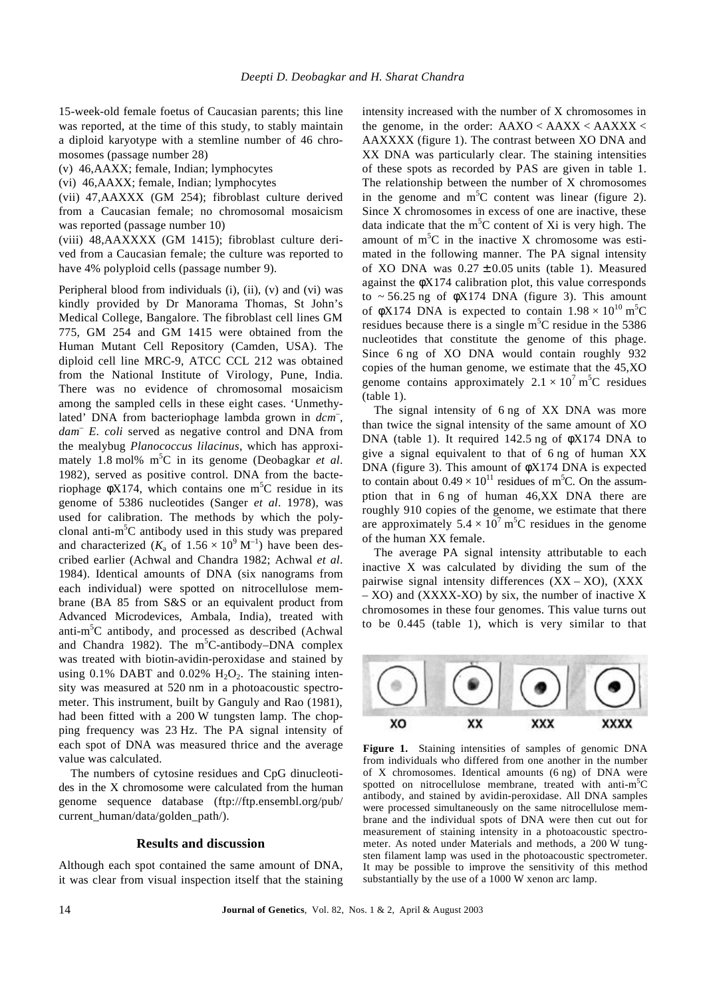15-week-old female foetus of Caucasian parents; this line was reported, at the time of this study, to stably maintain a diploid karyotype with a stemline number of 46 chromosomes (passage number 28)

(v) 46,AAXX; female, Indian; lymphocytes

(vi) 46,AAXX; female, Indian; lymphocytes

(vii) 47,AAXXX (GM 254); fibroblast culture derived from a Caucasian female; no chromosomal mosaicism was reported (passage number 10)

(viii) 48,AAXXXX (GM 1415); fibroblast culture derived from a Caucasian female; the culture was reported to have 4% polyploid cells (passage number 9).

Peripheral blood from individuals (i), (ii), (v) and (vi) was kindly provided by Dr Manorama Thomas, St John's Medical College, Bangalore. The fibroblast cell lines GM 775, GM 254 and GM 1415 were obtained from the Human Mutant Cell Repository (Camden, USA). The diploid cell line MRC-9, ATCC CCL 212 was obtained from the National Institute of Virology, Pune, India. There was no evidence of chromosomal mosaicism among the sampled cells in these eight cases. 'Unmethylated' DNA from bacteriophage lambda grown in *dcm*– , *dam*– *E*. *coli* served as negative control and DNA from the mealybug *Planococcus lilacinus*, which has approximately 1.8 mol% m<sup>5</sup>C in its genome (Deobagkar *et al*. 1982), served as positive control. DNA from the bacteriophage  $\phi X174$ , which contains one m<sup>5</sup>C residue in its genome of 5386 nucleotides (Sanger *et al*. 1978), was used for calibration. The methods by which the polyclonal anti-m <sup>5</sup>C antibody used in this study was prepared and characterized ( $K_a$  of  $1.56 \times 10^9$  M<sup>-1</sup>) have been described earlier (Achwal and Chandra 1982; Achwal *et al*. 1984). Identical amounts of DNA (six nanograms from each individual) were spotted on nitrocellulose membrane (BA 85 from S&S or an equivalent product from Advanced Microdevices, Ambala, India), treated with anti-m <sup>5</sup>C antibody, and processed as described (Achwal and Chandra 1982). The  $m<sup>5</sup>C$ -antibody–DNA complex was treated with biotin-avidin-peroxidase and stained by using  $0.1\%$  DABT and  $0.02\%$  H<sub>2</sub>O<sub>2</sub>. The staining intensity was measured at 520 nm in a photoacoustic spectrometer. This instrument, built by Ganguly and Rao (1981), had been fitted with a 200 W tungsten lamp. The chopping frequency was 23 Hz. The PA signal intensity of each spot of DNA was measured thrice and the average value was calculated.

The numbers of cytosine residues and CpG dinucleotides in the X chromosome were calculated from the human genome sequence database (ftp://ftp.ensembl.org/pub/ current\_human/data/golden\_path/).

### **Results and discussion**

Although each spot contained the same amount of DNA, it was clear from visual inspection itself that the staining intensity increased with the number of X chromosomes in the genome, in the order:  $AAXO < AAXX < AAXXX <$ AAXXXX (figure 1). The contrast between XO DNA and XX DNA was particularly clear. The staining intensities of these spots as recorded by PAS are given in table 1. The relationship between the number of X chromosomes in the genome and  $m<sup>5</sup>C$  content was linear (figure 2). Since X chromosomes in excess of one are inactive, these data indicate that the  $m<sup>5</sup>C$  content of Xi is very high. The amount of  $m<sup>5</sup>C$  in the inactive X chromosome was estimated in the following manner. The PA signal intensity of XO DNA was  $0.27 \pm 0.05$  units (table 1). Measured against the φX174 calibration plot, this value corresponds to  $\approx$  56.25 ng of  $\phi$ X174 DNA (figure 3). This amount of  $\phi$ X174 DNA is expected to contain  $1.98 \times 10^{10}$  m<sup>5</sup>C residues because there is a single  $m<sup>5</sup>C$  residue in the 5386 nucleotides that constitute the genome of this phage. Since 6 ng of XO DNA would contain roughly 932 copies of the human genome, we estimate that the 45,XO genome contains approximately  $2.1 \times 10^7$  m<sup>5</sup>C residues (table 1).

The signal intensity of 6 ng of XX DNA was more than twice the signal intensity of the same amount of XO DNA (table 1). It required 142.5 ng of φX174 DNA to give a signal equivalent to that of 6 ng of human XX DNA (figure 3). This amount of φX174 DNA is expected to contain about  $0.49 \times 10^{11}$  residues of m<sup>5</sup>C. On the assumption that in 6 ng of human 46,XX DNA there are roughly 910 copies of the genome, we estimate that there are approximately  $5.4 \times 10^7$  m<sup>5</sup>C residues in the genome of the human XX female.

The average PA signal intensity attributable to each inactive X was calculated by dividing the sum of the pairwise signal intensity differences  $(XX - XO)$ ,  $(XXX)$ – XO) and (XXXX-XO) by six, the number of inactive X chromosomes in these four genomes. This value turns out to be 0.445 (table 1), which is very similar to that



**Figure 1.** Staining intensities of samples of genomic DNA from individuals who differed from one another in the number of X chromosomes. Identical amounts (6 ng) of DNA were spotted on nitrocellulose membrane, treated with anti-m<sup>5</sup>C antibody, and stained by avidin-peroxidase. All DNA samples were processed simultaneously on the same nitrocellulose membrane and the individual spots of DNA were then cut out for measurement of staining intensity in a photoacoustic spectrometer. As noted under Materials and methods, a 200 W tungsten filament lamp was used in the photoacoustic spectrometer. It may be possible to improve the sensitivity of this method substantially by the use of a 1000 W xenon arc lamp.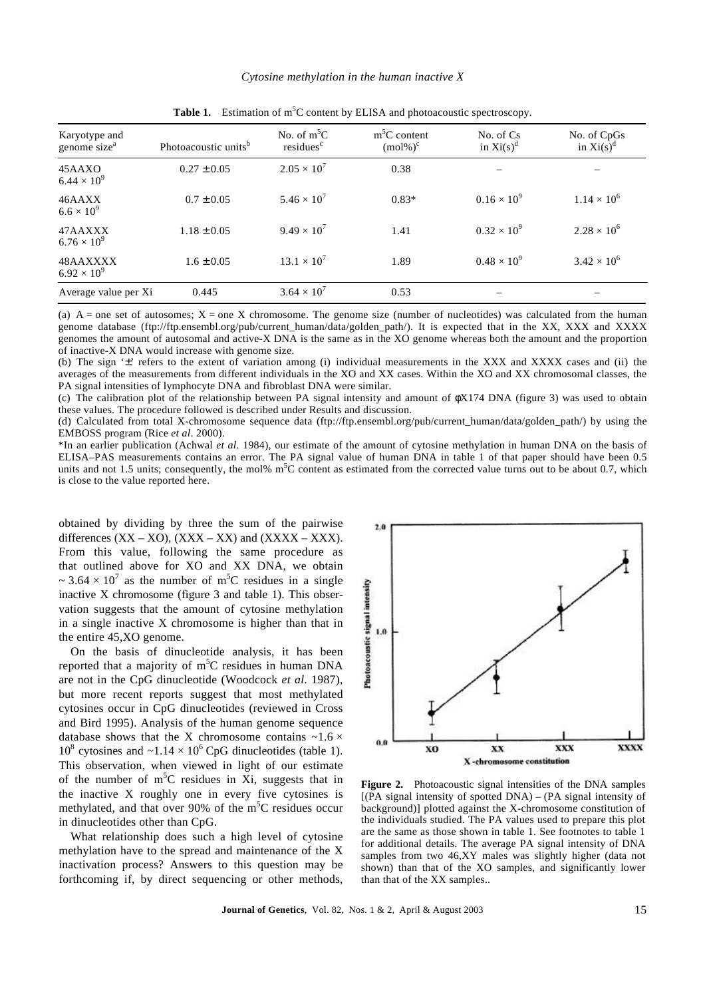| Karyotype and<br>genome size <sup>a</sup> | Photoacoustic units <sup>b</sup> | No. of $m^5C$<br>residues <sup>c</sup> | $m5C$ content<br>$(mol\%)^c$ | No. of Cs<br>in $Xi(s)^d$ | No. of CpGs<br>in $Xi(s)^d$ |  |
|-------------------------------------------|----------------------------------|----------------------------------------|------------------------------|---------------------------|-----------------------------|--|
| 45AAXO<br>$6.44 \times 10^{9}$            | $0.27 \pm 0.05$                  | $2.05 \times 10^{7}$                   | 0.38                         |                           |                             |  |
| 46AAXX<br>$6.6 \times 10^{9}$             | $0.7 \pm 0.05$                   | $5.46 \times 10^{7}$                   | $0.83*$                      | $0.16 \times 10^{9}$      | $1.14 \times 10^{6}$        |  |
| 47AAXXX<br>$6.76 \times 10^{9}$           | $1.18 \pm 0.05$                  | $9.49 \times 10^{7}$                   | 1.41                         | $0.32 \times 10^{9}$      | $2.28 \times 10^{6}$        |  |
| 48AAXXXX<br>$6.92 \times 10^{9}$          | $1.6 \pm 0.05$                   | $13.1 \times 10^{7}$                   | 1.89                         | $0.48 \times 10^{9}$      | $3.42 \times 10^{6}$        |  |
| Average value per Xi                      | 0.445                            | $3.64 \times 10^{7}$                   | 0.53                         |                           |                             |  |

**Table 1.** Estimation of  $m^5C$  content by ELISA and photoacoustic spectroscopy.

(a)  $A =$  one set of autosomes;  $X =$  one X chromosome. The genome size (number of nucleotides) was calculated from the human genome database (ftp://ftp.ensembl.org/pub/current\_human/data/golden\_path/). It is expected that in the XX, XXX and XXXX genomes the amount of autosomal and active-X DNA is the same as in the XO genome whereas both the amount and the proportion of inactive-X DNA would increase with genome size.

(b) The sign '±' refers to the extent of variation among (i) individual measurements in the XXX and XXXX cases and (ii) the averages of the measurements from different individuals in the XO and XX cases. Within the XO and XX chromosomal classes, the PA signal intensities of lymphocyte DNA and fibroblast DNA were similar.

(c) The calibration plot of the relationship between PA signal intensity and amount of φX174 DNA (figure 3) was used to obtain these values. The procedure followed is described under Results and discussion.

(d) Calculated from total X-chromosome sequence data (ftp://ftp.ensembl.org/pub/current\_human/data/golden\_path/) by using the EMBOSS program (Rice *et al*. 2000).

\*In an earlier publication (Achwal *et al*. 1984), our estimate of the amount of cytosine methylation in human DNA on the basis of ELISA–PAS measurements contains an error. The PA signal value of human DNA in table 1 of that paper should have been 0.5 units and not 1.5 units; consequently, the mol% m<sup>5</sup>C content as estimated from the corrected value turns out to be about 0.7, which is close to the value reported here.

obtained by dividing by three the sum of the pairwise differences  $(XX - XO)$ ,  $(XXX - XX)$  and  $(XXXX - XXX)$ . From this value, following the same procedure as that outlined above for XO and XX DNA, we obtain  $\sim$  3.64  $\times$  10<sup>7</sup> as the number of m<sup>5</sup>C residues in a single inactive X chromosome (figure 3 and table 1). This observation suggests that the amount of cytosine methylation in a single inactive X chromosome is higher than that in the entire 45,XO genome.

On the basis of dinucleotide analysis, it has been reported that a majority of  $m<sup>5</sup>C$  residues in human DNA are not in the CpG dinucleotide (Woodcock *et al*. 1987), but more recent reports suggest that most methylated cytosines occur in CpG dinucleotides (reviewed in Cross and Bird 1995). Analysis of the human genome sequence database shows that the X chromosome contains  $\sim$ 1.6  $\times$  $10^8$  cytosines and  $\sim 1.14 \times 10^6$  CpG dinucleotides (table 1). This observation, when viewed in light of our estimate of the number of  $m<sup>5</sup>C$  residues in Xi, suggests that in the inactive X roughly one in every five cytosines is methylated, and that over 90% of the  $m<sup>5</sup>C$  residues occur in dinucleotides other than CpG.

What relationship does such a high level of cytosine methylation have to the spread and maintenance of the X inactivation process? Answers to this question may be forthcoming if, by direct sequencing or other methods,



**Figure 2.** Photoacoustic signal intensities of the DNA samples  $[(\overrightarrow{PA} \text{ signal intensity of spotted DNA}) - (PA \text{ signal intensity of})]$ background)] plotted against the X-chromosome constitution of the individuals studied. The PA values used to prepare this plot are the same as those shown in table 1. See footnotes to table 1 for additional details. The average PA signal intensity of DNA samples from two 46,XY males was slightly higher (data not shown) than that of the XO samples, and significantly lower than that of the XX samples..